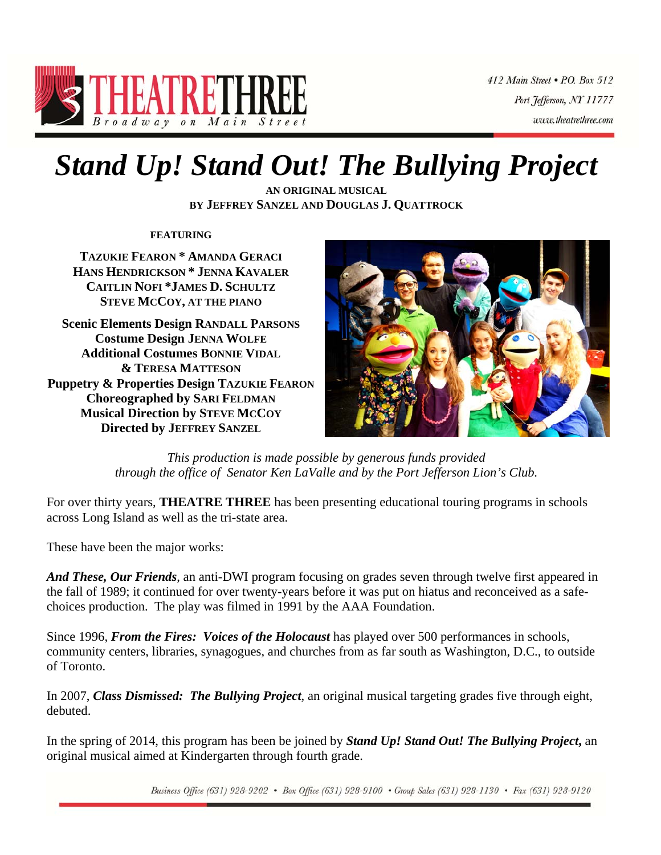

412 Main Street . P.O. Box 512 Port Jefferson, NY 11777 www.theatrethree.com

# *Stand Up! Stand Out! The Bullying Project*

**AN ORIGINAL MUSICAL BY JEFFREY SANZEL AND DOUGLAS J. QUATTROCK**

**FEATURING**

**TAZUKIE FEARON \* AMANDA GERACI HANS HENDRICKSON \* JENNA KAVALER CAITLIN NOFI \*JAMES D. SCHULTZ STEVE MCCOY, AT THE PIANO**

**Scenic Elements Design RANDALL PARSONS Costume Design JENNA WOLFE Additional Costumes BONNIE VIDAL & TERESA MATTESON Puppetry & Properties Design TAZUKIE FEARON Choreographed by SARI FELDMAN Musical Direction by STEVE MCCOY Directed by JEFFREY SANZEL**



*This production is made possible by generous funds provided through the office of Senator Ken LaValle and by the Port Jefferson Lion's Club.* 

For over thirty years, **THEATRE THREE** has been presenting educational touring programs in schools across Long Island as well as the tri-state area.

These have been the major works:

*And These, Our Friends*, an anti-DWI program focusing on grades seven through twelve first appeared in the fall of 1989; it continued for over twenty-years before it was put on hiatus and reconceived as a safechoices production. The play was filmed in 1991 by the AAA Foundation.

Since 1996, *From the Fires: Voices of the Holocaust* has played over 500 performances in schools, community centers, libraries, synagogues, and churches from as far south as Washington, D.C., to outside of Toronto.

In 2007, *Class Dismissed: The Bullying Project,* an original musical targeting grades five through eight, debuted.

In the spring of 2014, this program has been be joined by *Stand Up! Stand Out! The Bullying Project***,** an original musical aimed at Kindergarten through fourth grade.

Business Office (631) 928-9202 • Box Office (631) 928-9100 • Group Sales (631) 928-1130 • Fax (631) 928-9120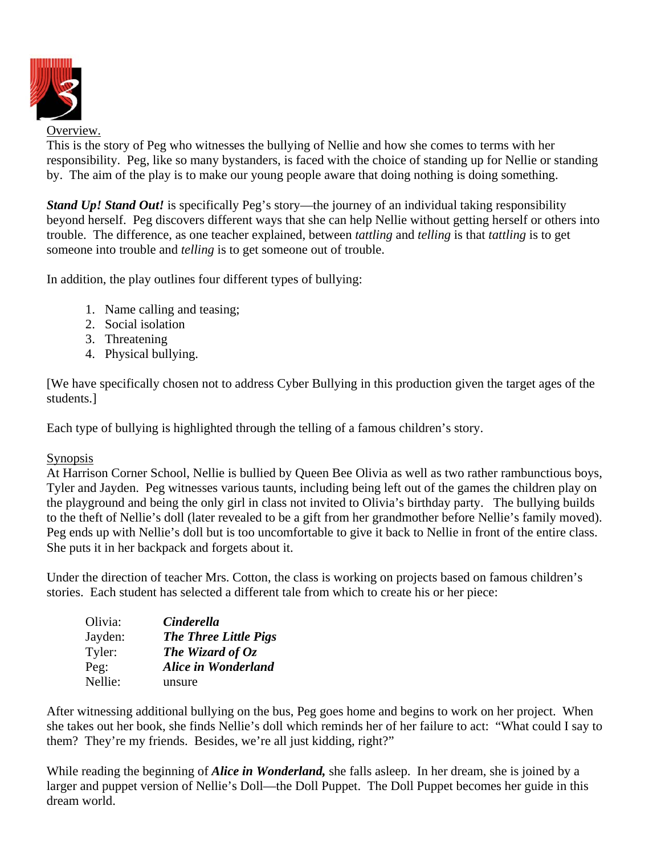

### Overview.

This is the story of Peg who witnesses the bullying of Nellie and how she comes to terms with her responsibility. Peg, like so many bystanders, is faced with the choice of standing up for Nellie or standing by. The aim of the play is to make our young people aware that doing nothing is doing something.

*Stand Up! Stand Out!* is specifically Peg's story—the journey of an individual taking responsibility beyond herself. Peg discovers different ways that she can help Nellie without getting herself or others into trouble. The difference, as one teacher explained, between *tattling* and *telling* is that *tattling* is to get someone into trouble and *telling* is to get someone out of trouble.

In addition, the play outlines four different types of bullying:

- 1. Name calling and teasing;
- 2. Social isolation
- 3. Threatening
- 4. Physical bullying.

[We have specifically chosen not to address Cyber Bullying in this production given the target ages of the students.]

Each type of bullying is highlighted through the telling of a famous children's story.

## Synopsis

At Harrison Corner School, Nellie is bullied by Queen Bee Olivia as well as two rather rambunctious boys, Tyler and Jayden. Peg witnesses various taunts, including being left out of the games the children play on the playground and being the only girl in class not invited to Olivia's birthday party. The bullying builds to the theft of Nellie's doll (later revealed to be a gift from her grandmother before Nellie's family moved). Peg ends up with Nellie's doll but is too uncomfortable to give it back to Nellie in front of the entire class. She puts it in her backpack and forgets about it.

Under the direction of teacher Mrs. Cotton, the class is working on projects based on famous children's stories. Each student has selected a different tale from which to create his or her piece:

| Olivia: | <b>Cinderella</b>            |
|---------|------------------------------|
| Jayden: | <b>The Three Little Pigs</b> |
| Tyler:  | The Wizard of $Oz$           |
| Peg:    | <b>Alice in Wonderland</b>   |
| Nellie: | unsure                       |

After witnessing additional bullying on the bus, Peg goes home and begins to work on her project. When she takes out her book, she finds Nellie's doll which reminds her of her failure to act: "What could I say to them? They're my friends. Besides, we're all just kidding, right?"

While reading the beginning of *Alice in Wonderland,* she falls asleep. In her dream, she is joined by a larger and puppet version of Nellie's Doll—the Doll Puppet. The Doll Puppet becomes her guide in this dream world.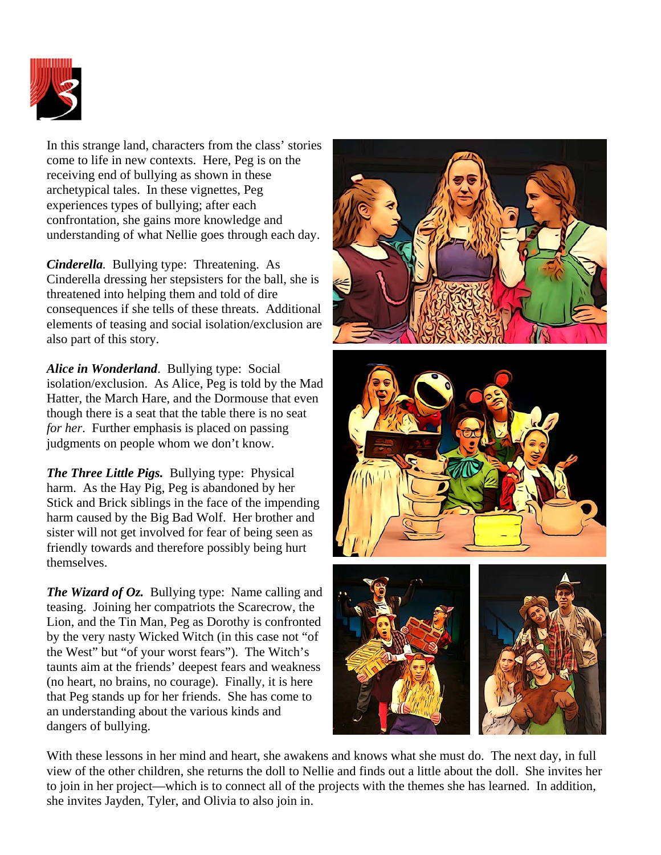

In this strange land, characters from the class' stories come to life in new contexts. Here, Peg is on the receiving end of bullying as shown in these archetypical tales. In these vignettes, Peg experiences types of bullying; after each confrontation, she gains more knowledge and understanding of what Nellie goes through each day.

*Cinderella.* Bullying type: Threatening. As Cinderella dressing her stepsisters for the ball, she is threatened into helping them and told of dire consequences if she tells of these threats. Additional elements of teasing and social isolation/exclusion are also part of this story.

*Alice in Wonderland*. Bullying type: Social isolation/exclusion. As Alice, Peg is told by the Mad Hatter, the March Hare, and the Dormouse that even though there is a seat that the table there is no seat *for her*. Further emphasis is placed on passing judgments on people whom we don't know.

*The Three Little Pigs.* Bullying type: Physical harm. As the Hay Pig, Peg is abandoned by her Stick and Brick siblings in the face of the impending harm caused by the Big Bad Wolf. Her brother and sister will not get involved for fear of being seen as friendly towards and therefore possibly being hurt themselves.

*The Wizard of Oz.* Bullying type: Name calling and teasing. Joining her compatriots the Scarecrow, the Lion, and the Tin Man, Peg as Dorothy is confronted by the very nasty Wicked Witch (in this case not "of the West" but "of your worst fears"). The Witch's taunts aim at the friends' deepest fears and weakness (no heart, no brains, no courage). Finally, it is here that Peg stands up for her friends. She has come to an understanding about the various kinds and dangers of bullying.







With these lessons in her mind and heart, she awakens and knows what she must do. The next day, in full view of the other children, she returns the doll to Nellie and finds out a little about the doll. She invites her to join in her project—which is to connect all of the projects with the themes she has learned. In addition, she invites Jayden, Tyler, and Olivia to also join in.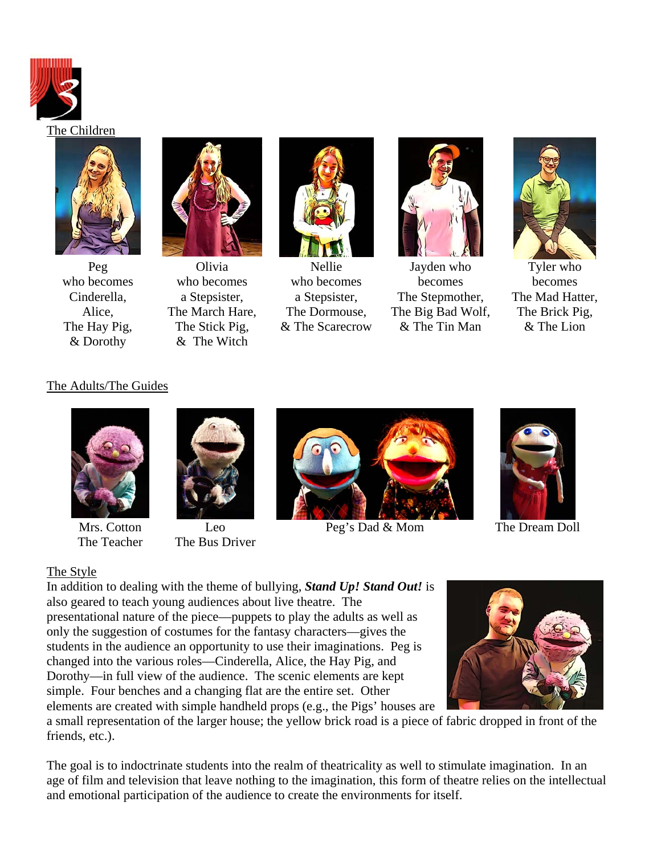



Peg who becomes Cinderella, Alice, The Hay Pig, & Dorothy



Olivia who becomes a Stepsister, The March Hare, The Stick Pig, & The Witch



Nellie who becomes a Stepsister, The Dormouse, & The Scarecrow



Jayden who becomes The Stepmother, The Big Bad Wolf, & The Tin Man



Tyler who becomes The Mad Hatter, The Brick Pig, & The Lion

## The Adults/The Guides



Mrs. Cotton The Teacher



Leo The Bus Driver



Peg's Dad & Mom The Dream Doll



## The Style

In addition to dealing with the theme of bullying, *Stand Up! Stand Out!* is also geared to teach young audiences about live theatre. The presentational nature of the piece—puppets to play the adults as well as only the suggestion of costumes for the fantasy characters—gives the students in the audience an opportunity to use their imaginations. Peg is changed into the various roles—Cinderella, Alice, the Hay Pig, and Dorothy—in full view of the audience. The scenic elements are kept simple. Four benches and a changing flat are the entire set. Other elements are created with simple handheld props (e.g., the Pigs' houses are

a small representation of the larger house; the yellow brick road is a piece of fabric dropped in front of the friends, etc.).

The goal is to indoctrinate students into the realm of theatricality as well to stimulate imagination. In an age of film and television that leave nothing to the imagination, this form of theatre relies on the intellectual and emotional participation of the audience to create the environments for itself.